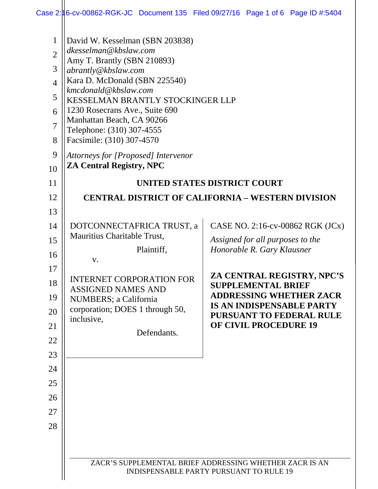| $\mathbf{1}$   | David W. Kesselman (SBN 203838)                                                                                                                      |                                                                 |  |
|----------------|------------------------------------------------------------------------------------------------------------------------------------------------------|-----------------------------------------------------------------|--|
| $\overline{2}$ | dkesselman@kbslaw.com                                                                                                                                |                                                                 |  |
| 3              | Amy T. Brantly (SBN 210893)                                                                                                                          |                                                                 |  |
|                | abrantly@kbslaw.com<br>Kara D. McDonald (SBN 225540)                                                                                                 |                                                                 |  |
| $\overline{4}$ | kmcdonald@kbslaw.com<br>KESSELMAN BRANTLY STOCKINGER LLP<br>1230 Rosecrans Ave., Suite 690<br>Manhattan Beach, CA 90266<br>Telephone: (310) 307-4555 |                                                                 |  |
| 5              |                                                                                                                                                      |                                                                 |  |
| 6              |                                                                                                                                                      |                                                                 |  |
| $\overline{7}$ |                                                                                                                                                      |                                                                 |  |
| 8              | Facsimile: (310) 307-4570                                                                                                                            |                                                                 |  |
| 9              | Attorneys for [Proposed] Intervenor                                                                                                                  |                                                                 |  |
| 10             | <b>ZA Central Registry, NPC</b>                                                                                                                      |                                                                 |  |
| 11             | <b>UNITED STATES DISTRICT COURT</b>                                                                                                                  |                                                                 |  |
| 12             |                                                                                                                                                      | <b>CENTRAL DISTRICT OF CALIFORNIA – WESTERN DIVISION</b>        |  |
| 13             |                                                                                                                                                      |                                                                 |  |
| 14             | DOTCONNECTAFRICA TRUST, a                                                                                                                            | CASE NO. 2:16-cv-00862 RGK (JCx)                                |  |
| 15             | Mauritius Charitable Trust,                                                                                                                          | Assigned for all purposes to the                                |  |
| 16             | Plaintiff,                                                                                                                                           | Honorable R. Gary Klausner                                      |  |
| 17             | V.                                                                                                                                                   |                                                                 |  |
| 18             | <b>INTERNET CORPORATION FOR</b>                                                                                                                      | ZA CENTRAL REGISTRY, NPC'S<br><b>SUPPLEMENTAL BRIEF</b>         |  |
| 19             | <b>ASSIGNED NAMES AND</b><br><b>NUMBERS</b> ; a California                                                                                           | <b>ADDRESSING WHETHER ZACR</b>                                  |  |
| 20             | corporation; DOES 1 through 50,                                                                                                                      | <b>IS AN INDISPENSABLE PARTY</b>                                |  |
| 21             | inclusive,                                                                                                                                           | <b>PURSUANT TO FEDERAL RULE</b><br><b>OF CIVIL PROCEDURE 19</b> |  |
| 22             | Defendants.                                                                                                                                          |                                                                 |  |
| 23             |                                                                                                                                                      |                                                                 |  |
| 24             |                                                                                                                                                      |                                                                 |  |
| 25             |                                                                                                                                                      |                                                                 |  |
| 26             |                                                                                                                                                      |                                                                 |  |
| 27             |                                                                                                                                                      |                                                                 |  |
| 28             |                                                                                                                                                      |                                                                 |  |
|                |                                                                                                                                                      |                                                                 |  |
|                |                                                                                                                                                      |                                                                 |  |
|                | ZACR'S SUPPLEMENTAL BRIEF ADDRESSING WHETHER ZACR IS AN                                                                                              |                                                                 |  |
|                | <b>INDISPENSABLE PARTY PURSUANT TO RULE 19</b>                                                                                                       |                                                                 |  |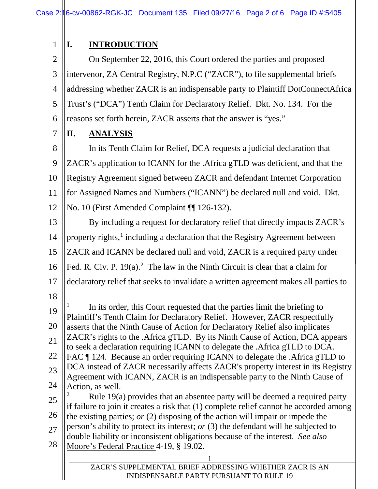## **I. INTRODUCTION**

2 3 4 5 6 On September 22, 2016, this Court ordered the parties and proposed intervenor, ZA Central Registry, N.P.C ("ZACR"), to file supplemental briefs addressing whether ZACR is an indispensable party to Plaintiff DotConnectAfrica Trust's ("DCA") Tenth Claim for Declaratory Relief. Dkt. No. 134. For the reasons set forth herein, ZACR asserts that the answer is "yes."

7

1

**II. ANALYSIS**

8 9 10 11 12 13 In its Tenth Claim for Relief, DCA requests a judicial declaration that ZACR's application to ICANN for the .Africa gTLD was deficient, and that the Registry Agreement signed between ZACR and defendant Internet Corporation for Assigned Names and Numbers ("ICANN") be declared null and void. Dkt. No. 10 (First Amended Complaint ¶¶ 126-132). By including a request for declaratory relief that directly impacts ZACR's

14 15 16 17 property rights,<sup>[1](#page-1-0)</sup> including a declaration that the Registry Agreement between ZACR and ICANN be declared null and void, ZACR is a required party under Fed. R. Civ. P.  $19(a)$ .<sup>[2](#page-1-1)</sup> The law in the Ninth Circuit is clear that a claim for declaratory relief that seeks to invalidate a written agreement makes all parties to

18

<span id="page-1-0"></span>19 20 21 22 23  $\overline{a}$ In its order, this Court requested that the parties limit the briefing to Plaintiff's Tenth Claim for Declaratory Relief. However, ZACR respectfully asserts that the Ninth Cause of Action for Declaratory Relief also implicates ZACR's rights to the .Africa gTLD. By its Ninth Cause of Action, DCA appears to seek a declaration requiring ICANN to delegate the .Africa gTLD to DCA. FAC ¶ 124. Because an order requiring ICANN to delegate the .Africa gTLD to DCA instead of ZACR necessarily affects ZACR's property interest in its Registry Agreement with ICANN, ZACR is an indispensable party to the Ninth Cause of

24 Action, as well.

<span id="page-1-1"></span>25 26 27 <sup>2</sup> Rule 19(a) provides that an absentee party will be deemed a required party if failure to join it creates a risk that (1) complete relief cannot be accorded among the existing parties; *or* (2) disposing of the action will impair or impede the person's ability to protect its interest; *or* (3) the defendant will be subjected to double liability or inconsistent obligations because of the interest. *See also* 

28 Moore's Federal Practice 4-19, § 19.02.

> 1 ZACR'S SUPPLEMENTAL BRIEF ADDRESSING WHETHER ZACR IS AN INDISPENSABLE PARTY PURSUANT TO RULE 19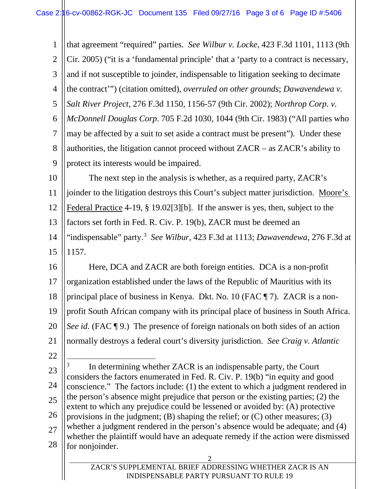<span id="page-2-0"></span>

| $\mathbf{1}$                                 | that agreement "required" parties. See Wilbur v. Locke, 423 F.3d 1101, 1113 (9th                                                                                  |  |  |
|----------------------------------------------|-------------------------------------------------------------------------------------------------------------------------------------------------------------------|--|--|
| $\overline{2}$                               | Cir. 2005) ("it is a 'fundamental principle' that a 'party to a contract is necessary,                                                                            |  |  |
| 3                                            | and if not susceptible to joinder, indispensable to litigation seeking to decimate                                                                                |  |  |
| $\overline{4}$                               | the contract"") (citation omitted), overruled on other grounds; Dawavendewa v.                                                                                    |  |  |
| 5                                            | Salt River Project, 276 F.3d 1150, 1156-57 (9th Cir. 2002); Northrop Corp. v.                                                                                     |  |  |
| 6                                            | McDonnell Douglas Corp. 705 F.2d 1030, 1044 (9th Cir. 1983) ("All parties who                                                                                     |  |  |
| $\overline{7}$                               | may be affected by a suit to set aside a contract must be present"). Under these                                                                                  |  |  |
| 8                                            | authorities, the litigation cannot proceed without $ZACR$ – as $ZACR$ 's ability to                                                                               |  |  |
| 9                                            | protect its interests would be impaired.                                                                                                                          |  |  |
| 10                                           | The next step in the analysis is whether, as a required party, ZACR's                                                                                             |  |  |
| 11                                           | joinder to the litigation destroys this Court's subject matter jurisdiction. Moore's                                                                              |  |  |
| 12                                           | Federal Practice 4-19, $\S$ 19.02[3][b]. If the answer is yes, then, subject to the                                                                               |  |  |
| 13                                           | factors set forth in Fed. R. Civ. P. 19(b), ZACR must be deemed an                                                                                                |  |  |
| 14                                           | "indispensable" party. <sup>3</sup> See Wilbur, 423 F.3d at 1113; Dawavendewa, 276 F.3d at                                                                        |  |  |
| 15                                           | 1157.                                                                                                                                                             |  |  |
| 16                                           | Here, DCA and ZACR are both foreign entities. DCA is a non-profit                                                                                                 |  |  |
| 17                                           | organization established under the laws of the Republic of Mauritius with its                                                                                     |  |  |
| 18                                           | principal place of business in Kenya. Dkt. No. 10 (FAC ¶ 7). ZACR is a non-                                                                                       |  |  |
| 19                                           | profit South African company with its principal place of business in South Africa.                                                                                |  |  |
| 20                                           | See id. (FAC ¶ 9.) The presence of foreign nationals on both sides of an action                                                                                   |  |  |
|                                              |                                                                                                                                                                   |  |  |
|                                              | normally destroys a federal court's diversity jurisdiction. See Craig v. Atlantic                                                                                 |  |  |
|                                              |                                                                                                                                                                   |  |  |
|                                              | 3<br>In determining whether ZACR is an indispensable party, the Court                                                                                             |  |  |
|                                              | considers the factors enumerated in Fed. R. Civ. P. 19(b) "in equity and good<br>conscience." The factors include: (1) the extent to which a judgment rendered in |  |  |
|                                              | the person's absence might prejudice that person or the existing parties; (2) the                                                                                 |  |  |
|                                              | extent to which any prejudice could be lessened or avoided by: (A) protective<br>provisions in the judgment; (B) shaping the relief; or $(C)$ other measures; (3) |  |  |
|                                              | whether a judgment rendered in the person's absence would be adequate; and (4)                                                                                    |  |  |
| 21<br>22<br>23<br>24<br>25<br>26<br>27<br>28 | whether the plaintiff would have an adequate remedy if the action were dismissed<br>for nonjoinder.                                                               |  |  |
|                                              | 2<br>ZACR'S SUPPLEMENTAL BRIEF ADDRESSING WHETHER ZACR IS AN                                                                                                      |  |  |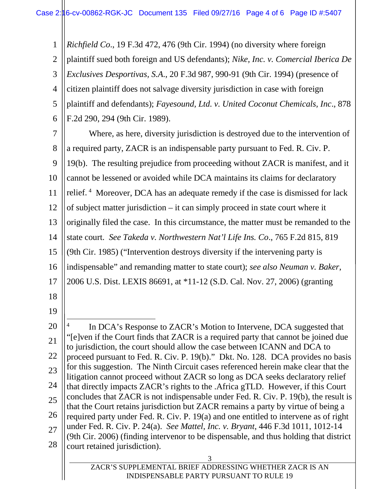3 ZACR'S SUPPLEMENTAL BRIEF ADDRESSING WHETHER ZACR IS AN 1 2 3 4 5 6 7 8 9 10 11 12 13 14 15 16 17 18 19 20 21 22 23 24 25 26 27 28 *Richfield Co*., 19 F.3d 472, 476 (9th Cir. 1994) (no diversity where foreign plaintiff sued both foreign and US defendants); *Nike, Inc. v. Comercial Iberica De Exclusives Desportivas, S.A*., 20 F.3d 987, 990-91 (9th Cir. 1994) (presence of citizen plaintiff does not salvage diversity jurisdiction in case with foreign plaintiff and defendants); *Fayesound, Ltd. v. United Coconut Chemicals, Inc*., 878 F.2d 290, 294 (9th Cir. 1989). Where, as here, diversity jurisdiction is destroyed due to the intervention of a required party, ZACR is an indispensable party pursuant to Fed. R. Civ. P. 19(b). The resulting prejudice from proceeding without ZACR is manifest, and it cannot be lessened or avoided while DCA maintains its claims for declaratory relief.<sup>[4](#page-3-0)</sup> Moreover, DCA has an adequate remedy if the case is dismissed for lack of subject matter jurisdiction – it can simply proceed in state court where it originally filed the case. In this circumstance, the matter must be remanded to the state court. *See Takeda v. Northwestern Nat'l Life Ins. Co*., 765 F.2d 815, 819 (9th Cir. 1985) ("Intervention destroys diversity if the intervening party is indispensable" and remanding matter to state court); *see also Neuman v. Baker*, 2006 U.S. Dist. LEXIS 86691, at \*11-12 (S.D. Cal. Nov. 27, 2006) (granting  $\overline{a}$ In DCA's Response to ZACR's Motion to Intervene, DCA suggested that "[e]ven if the Court finds that ZACR is a required party that cannot be joined due to jurisdiction, the court should allow the case between ICANN and DCA to proceed pursuant to Fed. R. Civ. P. 19(b)." Dkt. No. 128. DCA provides no basis for this suggestion. The Ninth Circuit cases referenced herein make clear that the litigation cannot proceed without ZACR so long as DCA seeks declaratory relief that directly impacts ZACR's rights to the .Africa gTLD. However, if this Court concludes that ZACR is not indispensable under Fed. R. Civ. P. 19(b), the result is that the Court retains jurisdiction but ZACR remains a party by virtue of being a required party under Fed. R. Civ. P. 19(a) and one entitled to intervene as of right under Fed. R. Civ. P. 24(a). *See Mattel, Inc. v. Bryant*, 446 F.3d 1011, 1012-14 (9th Cir. 2006) (finding intervenor to be dispensable, and thus holding that district court retained jurisdiction).

<span id="page-3-0"></span>INDISPENSABLE PARTY PURSUANT TO RULE 19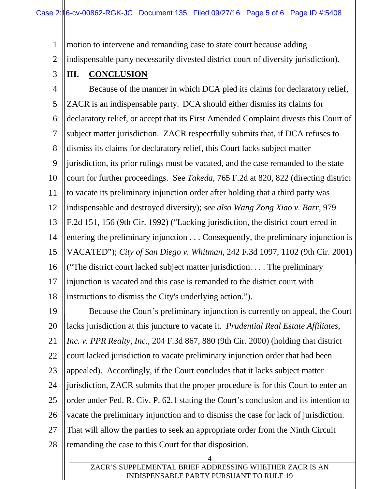1 motion to intervene and remanding case to state court because adding

2 indispensable party necessarily divested district court of diversity jurisdiction).

3

## **III. CONCLUSION**

4 5 6 7 8 9 10 11 12 13 14 15 16 17 18 Because of the manner in which DCA pled its claims for declaratory relief, ZACR is an indispensable party. DCA should either dismiss its claims for declaratory relief, or accept that its First Amended Complaint divests this Court of subject matter jurisdiction. ZACR respectfully submits that, if DCA refuses to dismiss its claims for declaratory relief, this Court lacks subject matter jurisdiction, its prior rulings must be vacated, and the case remanded to the state court for further proceedings. See *Takeda*, 765 F.2d at 820, 822 (directing district to vacate its preliminary injunction order after holding that a third party was indispensable and destroyed diversity); *see also Wang Zong Xiao v. Barr*, 979 F.2d 151, 156 (9th Cir. 1992) ("Lacking jurisdiction, the district court erred in entering the preliminary injunction . . . Consequently, the preliminary injunction is VACATED"); *City of San Diego v. Whitman*, 242 F.3d 1097, 1102 (9th Cir. 2001) ("The district court lacked subject matter jurisdiction. . . . The preliminary injunction is vacated and this case is remanded to the district court with instructions to dismiss the City's underlying action.").

19 20 21 22 23 24 25 26 27 28 Because the Court's preliminary injunction is currently on appeal, the Court lacks jurisdiction at this juncture to vacate it. *Prudential Real Estate Affiliates, Inc. v. PPR Realty, Inc.,* 204 F.3d 867, 880 (9th Cir. 2000) (holding that district court lacked jurisdiction to vacate preliminary injunction order that had been appealed). Accordingly, if the Court concludes that it lacks subject matter jurisdiction, ZACR submits that the proper procedure is for this Court to enter an order under Fed. R. Civ. P. 62.1 stating the Court's conclusion and its intention to vacate the preliminary injunction and to dismiss the case for lack of jurisdiction. That will allow the parties to seek an appropriate order from the Ninth Circuit remanding the case to this Court for that disposition.